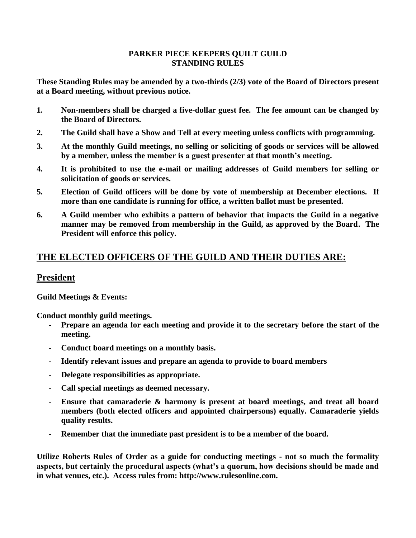#### **PARKER PIECE KEEPERS QUILT GUILD STANDING RULES**

**These Standing Rules may be amended by a two-thirds (2/3) vote of the Board of Directors present at a Board meeting, without previous notice.**

- **1. Non-members shall be charged a five-dollar guest fee. The fee amount can be changed by the Board of Directors.**
- **2. The Guild shall have a Show and Tell at every meeting unless conflicts with programming.**
- **3. At the monthly Guild meetings, no selling or soliciting of goods or services will be allowed by a member, unless the member is a guest presenter at that month's meeting.**
- **4. It is prohibited to use the e-mail or mailing addresses of Guild members for selling or solicitation of goods or services.**
- **5. Election of Guild officers will be done by vote of membership at December elections. If more than one candidate is running for office, a written ballot must be presented.**
- **6. A Guild member who exhibits a pattern of behavior that impacts the Guild in a negative manner may be removed from membership in the Guild, as approved by the Board. The President will enforce this policy.**

# **THE ELECTED OFFICERS OF THE GUILD AND THEIR DUTIES ARE:**

# **President**

**Guild Meetings & Events:** 

**Conduct monthly guild meetings.** 

- **Prepare an agenda for each meeting and provide it to the secretary before the start of the meeting.**
- **Conduct board meetings on a monthly basis.**
- **Identify relevant issues and prepare an agenda to provide to board members**
- **Delegate responsibilities as appropriate.**
- **Call special meetings as deemed necessary.**
- **Ensure that camaraderie & harmony is present at board meetings, and treat all board members (both elected officers and appointed chairpersons) equally. Camaraderie yields quality results.**
- Remember that the immediate past president is to be a member of the board.

**Utilize Roberts Rules of Order as a guide for conducting meetings - not so much the formality aspects, but certainly the procedural aspects (what's a quorum, how decisions should be made and in what venues, etc.). Access rules from: http://www.rulesonline.com.**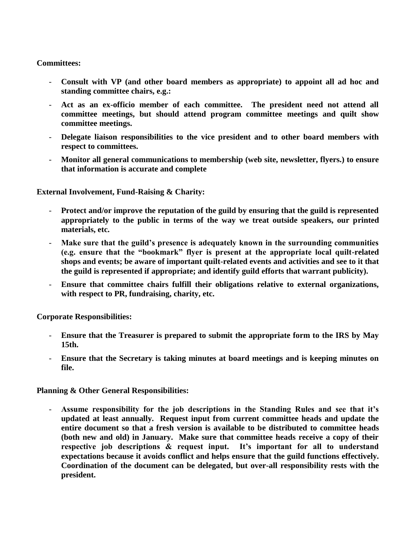#### **Committees:**

- **Consult with VP (and other board members as appropriate) to appoint all ad hoc and standing committee chairs, e.g.:**
- **Act as an ex-officio member of each committee. The president need not attend all committee meetings, but should attend program committee meetings and quilt show committee meetings.**
- **Delegate liaison responsibilities to the vice president and to other board members with respect to committees.**
- **Monitor all general communications to membership (web site, newsletter, flyers.) to ensure that information is accurate and complete**

**External Involvement, Fund-Raising & Charity:**

- **Protect and/or improve the reputation of the guild by ensuring that the guild is represented appropriately to the public in terms of the way we treat outside speakers, our printed materials, etc.**
- Make sure that the guild's presence is adequately known in the surrounding communities **(e.g. ensure that the "bookmark" flyer is present at the appropriate local quilt-related shops and events; be aware of important quilt-related events and activities and see to it that the guild is represented if appropriate; and identify guild efforts that warrant publicity).**
- **Ensure that committee chairs fulfill their obligations relative to external organizations, with respect to PR, fundraising, charity, etc.**

**Corporate Responsibilities:** 

- **Ensure that the Treasurer is prepared to submit the appropriate form to the IRS by May 15th.**
- **Ensure that the Secretary is taking minutes at board meetings and is keeping minutes on file.**

**Planning & Other General Responsibilities:** 

- **Assume responsibility for the job descriptions in the Standing Rules and see that it's updated at least annually. Request input from current committee heads and update the entire document so that a fresh version is available to be distributed to committee heads (both new and old) in January. Make sure that committee heads receive a copy of their respective job descriptions & request input. It's important for all to understand expectations because it avoids conflict and helps ensure that the guild functions effectively. Coordination of the document can be delegated, but over-all responsibility rests with the president.**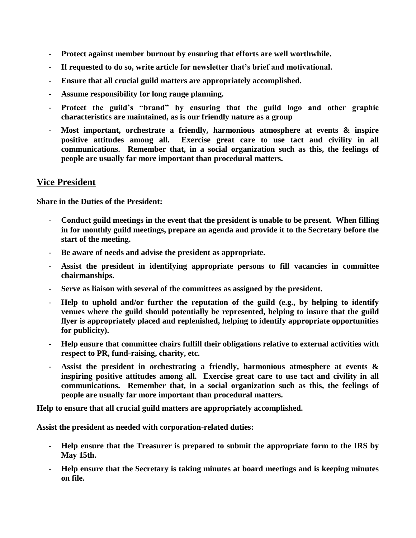- **Protect against member burnout by ensuring that efforts are well worthwhile.**
- If requested to do so, write article for newsletter that's brief and motivational.
- **Ensure that all crucial guild matters are appropriately accomplished.**
- **Assume responsibility for long range planning.**
- **Protect the guild's "brand" by ensuring that the guild logo and other graphic characteristics are maintained, as is our friendly nature as a group**
- **Most important, orchestrate a friendly, harmonious atmosphere at events & inspire positive attitudes among all. Exercise great care to use tact and civility in all communications. Remember that, in a social organization such as this, the feelings of people are usually far more important than procedural matters.**

# **Vice President**

**Share in the Duties of the President:**

- **Conduct guild meetings in the event that the president is unable to be present. When filling in for monthly guild meetings, prepare an agenda and provide it to the Secretary before the start of the meeting.**
- **Be aware of needs and advise the president as appropriate.**
- **Assist the president in identifying appropriate persons to fill vacancies in committee chairmanships.**
- **Serve as liaison with several of the committees as assigned by the president.**
- **Help to uphold and/or further the reputation of the guild (e.g., by helping to identify venues where the guild should potentially be represented, helping to insure that the guild flyer is appropriately placed and replenished, helping to identify appropriate opportunities for publicity).**
- **Help ensure that committee chairs fulfill their obligations relative to external activities with respect to PR, fund-raising, charity, etc.**
- **Assist the president in orchestrating a friendly, harmonious atmosphere at events & inspiring positive attitudes among all. Exercise great care to use tact and civility in all communications. Remember that, in a social organization such as this, the feelings of people are usually far more important than procedural matters.**

**Help to ensure that all crucial guild matters are appropriately accomplished.** 

**Assist the president as needed with corporation-related duties:** 

- **Help ensure that the Treasurer is prepared to submit the appropriate form to the IRS by May 15th.**
- **Help ensure that the Secretary is taking minutes at board meetings and is keeping minutes on file.**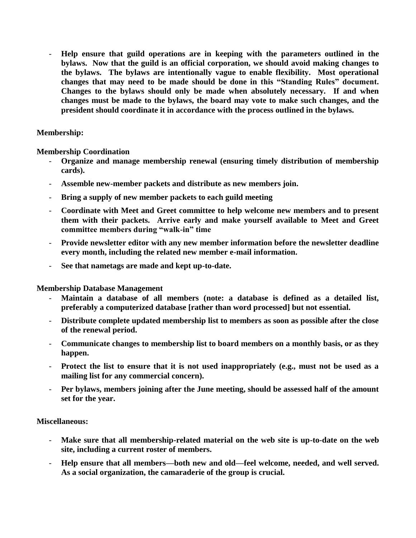- **Help ensure that guild operations are in keeping with the parameters outlined in the bylaws. Now that the guild is an official corporation, we should avoid making changes to the bylaws. The bylaws are intentionally vague to enable flexibility. Most operational changes that may need to be made should be done in this "Standing Rules" document. Changes to the bylaws should only be made when absolutely necessary. If and when changes must be made to the bylaws, the board may vote to make such changes, and the president should coordinate it in accordance with the process outlined in the bylaws.** 

#### **Membership:**

**Membership Coordination** 

- **Organize and manage membership renewal (ensuring timely distribution of membership cards).**
- **Assemble new-member packets and distribute as new members join.**
- **Bring a supply of new member packets to each guild meeting**
- **Coordinate with Meet and Greet committee to help welcome new members and to present them with their packets. Arrive early and make yourself available to Meet and Greet committee members during "walk-in" time**
- **Provide newsletter editor with any new member information before the newsletter deadline every month, including the related new member e-mail information.**
- **See that nametags are made and kept up-to-date.**

**Membership Database Management** 

- **Maintain a database of all members (note: a database is defined as a detailed list, preferably a computerized database [rather than word processed] but not essential.**
- **Distribute complete updated membership list to members as soon as possible after the close of the renewal period.**
- **Communicate changes to membership list to board members on a monthly basis, or as they happen.**
- Protect the list to ensure that it is not used inappropriately (e.g., must not be used as a **mailing list for any commercial concern).**
- **Per bylaws, members joining after the June meeting, should be assessed half of the amount set for the year.**

#### **Miscellaneous:**

- Make sure that all membership-related material on the web site is up-to-date on the web **site, including a current roster of members.**
- **Help ensure that all members—both new and old—feel welcome, needed, and well served. As a social organization, the camaraderie of the group is crucial.**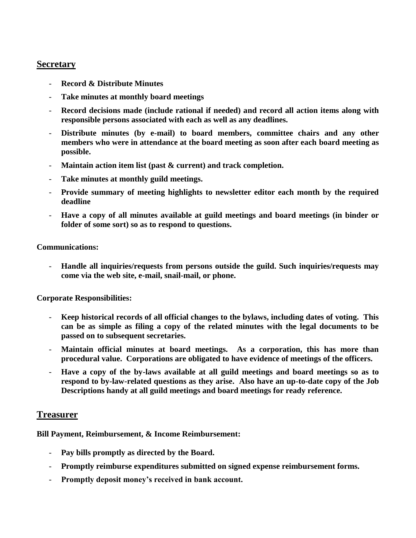### **Secretary**

- **Record & Distribute Minutes**
- **Take minutes at monthly board meetings**
- **Record decisions made (include rational if needed) and record all action items along with responsible persons associated with each as well as any deadlines.**
- **Distribute minutes (by e-mail) to board members, committee chairs and any other members who were in attendance at the board meeting as soon after each board meeting as possible.**
- Maintain action item list (past & current) and track completion.
- Take minutes at monthly guild meetings.
- **Provide summary of meeting highlights to newsletter editor each month by the required deadline**
- **Have a copy of all minutes available at guild meetings and board meetings (in binder or folder of some sort) so as to respond to questions.**

#### **Communications:**

- **Handle all inquiries/requests from persons outside the guild. Such inquiries/requests may come via the web site, e-mail, snail-mail, or phone.** 

#### **Corporate Responsibilities:**

- **Keep historical records of all official changes to the bylaws, including dates of voting. This can be as simple as filing a copy of the related minutes with the legal documents to be passed on to subsequent secretaries.**
- **Maintain official minutes at board meetings. As a corporation, this has more than procedural value. Corporations are obligated to have evidence of meetings of the officers.**
- **Have a copy of the by-laws available at all guild meetings and board meetings so as to respond to by-law-related questions as they arise. Also have an up-to-date copy of the Job Descriptions handy at all guild meetings and board meetings for ready reference.**

#### **Treasurer**

**Bill Payment, Reimbursement, & Income Reimbursement:**

- **Pay bills promptly as directed by the Board.**
- **Promptly reimburse expenditures submitted on signed expense reimbursement forms.**
- **Promptly deposit money's received in bank account.**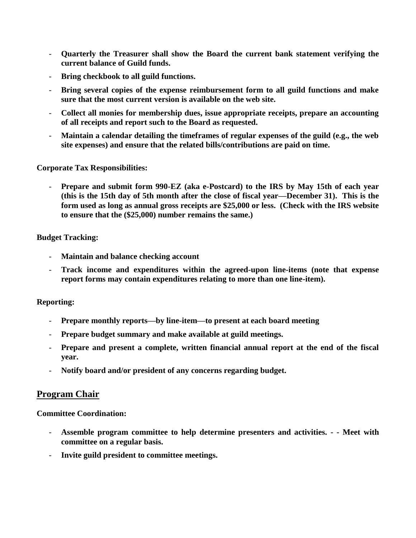- **Quarterly the Treasurer shall show the Board the current bank statement verifying the current balance of Guild funds.**
- **Bring checkbook to all guild functions.**
- **Bring several copies of the expense reimbursement form to all guild functions and make sure that the most current version is available on the web site.**
- **Collect all monies for membership dues, issue appropriate receipts, prepare an accounting of all receipts and report such to the Board as requested.**
- **Maintain a calendar detailing the timeframes of regular expenses of the guild (e.g., the web site expenses) and ensure that the related bills/contributions are paid on time.**

**Corporate Tax Responsibilities:**

- **Prepare and submit form 990-EZ (aka e-Postcard) to the IRS by May 15th of each year (this is the 15th day of 5th month after the close of fiscal year—December 31). This is the form used as long as annual gross receipts are \$25,000 or less. (Check with the IRS website to ensure that the (\$25,000) number remains the same.)** 

#### **Budget Tracking:**

- **Maintain and balance checking account**
- **Track income and expenditures within the agreed-upon line-items (note that expense report forms may contain expenditures relating to more than one line-item).**

#### **Reporting:**

- **Prepare monthly reports—by line-item—to present at each board meeting**
- **Prepare budget summary and make available at guild meetings.**
- **Prepare and present a complete, written financial annual report at the end of the fiscal year.**
- **Notify board and/or president of any concerns regarding budget.**

### **Program Chair**

**Committee Coordination:**

- **Assemble program committee to help determine presenters and activities. - - Meet with committee on a regular basis.**
- **Invite guild president to committee meetings.**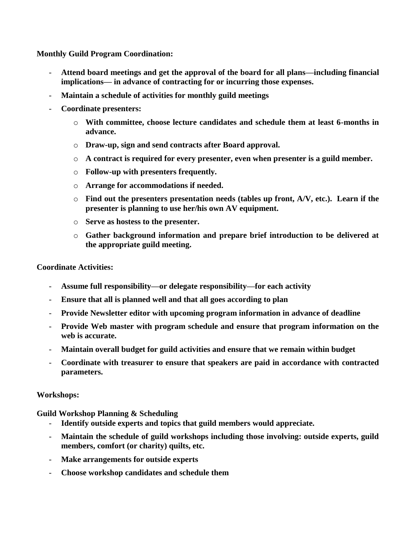**Monthly Guild Program Coordination:**

- **Attend board meetings and get the approval of the board for all plans—including financial implications— in advance of contracting for or incurring those expenses.**
- **Maintain a schedule of activities for monthly guild meetings**
- **Coordinate presenters:** 
	- o **With committee, choose lecture candidates and schedule them at least 6-months in advance.**
	- o **Draw-up, sign and send contracts after Board approval.**
	- o **A contract is required for every presenter, even when presenter is a guild member.**
	- o **Follow-up with presenters frequently.**
	- o **Arrange for accommodations if needed.**
	- o **Find out the presenters presentation needs (tables up front, A/V, etc.). Learn if the presenter is planning to use her/his own AV equipment.**
	- o **Serve as hostess to the presenter.**
	- o **Gather background information and prepare brief introduction to be delivered at the appropriate guild meeting.**

#### **Coordinate Activities:**

- Assume full responsibility—or delegate responsibility—for each activity
- **Ensure that all is planned well and that all goes according to plan**
- **Provide Newsletter editor with upcoming program information in advance of deadline**
- **Provide Web master with program schedule and ensure that program information on the web is accurate.**
- **Maintain overall budget for guild activities and ensure that we remain within budget**
- **Coordinate with treasurer to ensure that speakers are paid in accordance with contracted parameters.**

#### **Workshops:**

**Guild Workshop Planning & Scheduling** 

- **Identify outside experts and topics that guild members would appreciate.**
- Maintain the schedule of guild workshops including those involving: outside experts, guild **members, comfort (or charity) quilts, etc.**
- **Make arrangements for outside experts**
- **Choose workshop candidates and schedule them**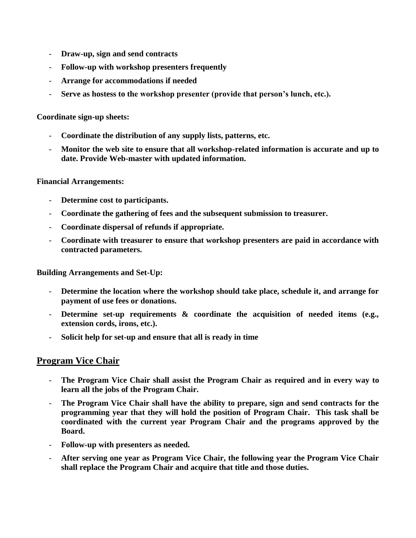- **Draw-up, sign and send contracts**
- **Follow-up with workshop presenters frequently**
- **Arrange for accommodations if needed**
- **Serve as hostess to the workshop presenter (provide that person's lunch, etc.).**

**Coordinate sign-up sheets:**

- **Coordinate the distribution of any supply lists, patterns, etc.**
- **Monitor the web site to ensure that all workshop-related information is accurate and up to date. Provide Web-master with updated information.**

#### **Financial Arrangements:**

- **Determine cost to participants.**
- **Coordinate the gathering of fees and the subsequent submission to treasurer.**
- **Coordinate dispersal of refunds if appropriate.**
- **Coordinate with treasurer to ensure that workshop presenters are paid in accordance with contracted parameters.**

**Building Arrangements and Set-Up:**

- **Determine the location where the workshop should take place, schedule it, and arrange for payment of use fees or donations.**
- Determine set-up requirements & coordinate the acquisition of needed items (e.g., **extension cords, irons, etc.).**
- **Solicit help for set-up and ensure that all is ready in time**

# **Program Vice Chair**

- **The Program Vice Chair shall assist the Program Chair as required and in every way to learn all the jobs of the Program Chair.**
- The Program Vice Chair shall have the ability to prepare, sign and send contracts for the **programming year that they will hold the position of Program Chair. This task shall be coordinated with the current year Program Chair and the programs approved by the Board.**
- **Follow-up with presenters as needed.**
- **After serving one year as Program Vice Chair, the following year the Program Vice Chair shall replace the Program Chair and acquire that title and those duties.**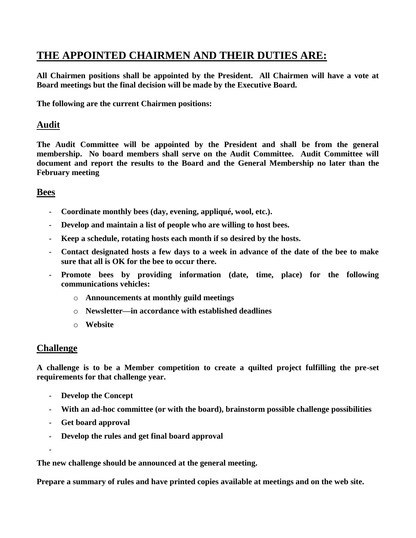# **THE APPOINTED CHAIRMEN AND THEIR DUTIES ARE:**

**All Chairmen positions shall be appointed by the President. All Chairmen will have a vote at Board meetings but the final decision will be made by the Executive Board.**

**The following are the current Chairmen positions:**

# **Audit**

**The Audit Committee will be appointed by the President and shall be from the general membership. No board members shall serve on the Audit Committee. Audit Committee will document and report the results to the Board and the General Membership no later than the February meeting**

# **Bees**

- **Coordinate monthly bees (day, evening, appliqué, wool, etc.).**
- **Develop and maintain a list of people who are willing to host bees.**
- **Keep a schedule, rotating hosts each month if so desired by the hosts.**
- **Contact designated hosts a few days to a week in advance of the date of the bee to make sure that all is OK for the bee to occur there.**
- **Promote bees by providing information (date, time, place) for the following communications vehicles:**
	- o **Announcements at monthly guild meetings**
	- o **Newsletter—in accordance with established deadlines**
	- o **Website**

# **Challenge**

**A challenge is to be a Member competition to create a quilted project fulfilling the pre-set requirements for that challenge year.** 

- **Develop the Concept**
- **With an ad-hoc committee (or with the board), brainstorm possible challenge possibilities**
- **Get board approval**
- **Develop the rules and get final board approval**

-

**The new challenge should be announced at the general meeting.**

**Prepare a summary of rules and have printed copies available at meetings and on the web site.**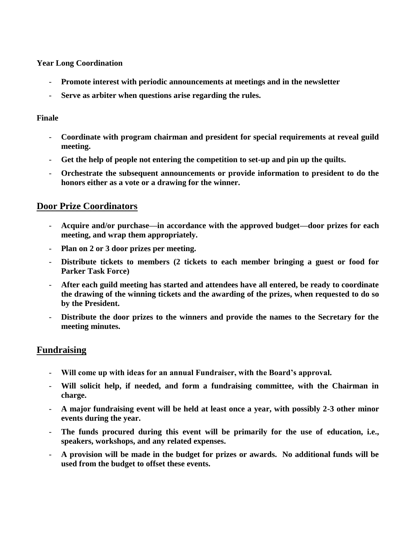**Year Long Coordination**

- **Promote interest with periodic announcements at meetings and in the newsletter**
- **Serve as arbiter when questions arise regarding the rules.**

### **Finale**

- **Coordinate with program chairman and president for special requirements at reveal guild meeting.**
- **Get the help of people not entering the competition to set-up and pin up the quilts.**
- **Orchestrate the subsequent announcements or provide information to president to do the honors either as a vote or a drawing for the winner.**

# **Door Prize Coordinators**

- **Acquire and/or purchase—in accordance with the approved budget—door prizes for each meeting, and wrap them appropriately.**
- **Plan on 2 or 3 door prizes per meeting.**
- **Distribute tickets to members (2 tickets to each member bringing a guest or food for Parker Task Force)**
- **After each guild meeting has started and attendees have all entered, be ready to coordinate the drawing of the winning tickets and the awarding of the prizes, when requested to do so by the President.**
- **Distribute the door prizes to the winners and provide the names to the Secretary for the meeting minutes.**

# **Fundraising**

- **Will come up with ideas for an annual Fundraiser, with the Board's approval.**
- **Will solicit help, if needed, and form a fundraising committee, with the Chairman in charge.**
- **A major fundraising event will be held at least once a year, with possibly 2-3 other minor events during the year.**
- **The funds procured during this event will be primarily for the use of education, i.e., speakers, workshops, and any related expenses.**
- **A provision will be made in the budget for prizes or awards. No additional funds will be used from the budget to offset these events.**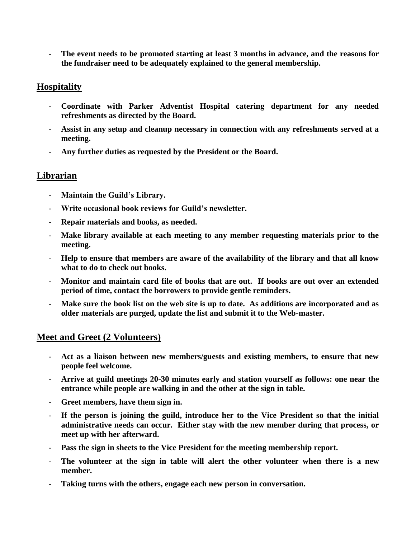The event needs to be promoted starting at least 3 months in advance, and the reasons for **the fundraiser need to be adequately explained to the general membership.**

# **Hospitality**

- **Coordinate with Parker Adventist Hospital catering department for any needed refreshments as directed by the Board.**
- **Assist in any setup and cleanup necessary in connection with any refreshments served at a meeting.**
- **Any further duties as requested by the President or the Board.**

# **Librarian**

- **Maintain the Guild's Library.**
- **Write occasional book reviews for Guild's newsletter.**
- **Repair materials and books, as needed.**
- Make library available at each meeting to any member requesting materials prior to the **meeting.**
- **Help to ensure that members are aware of the availability of the library and that all know what to do to check out books.**
- **Monitor and maintain card file of books that are out. If books are out over an extended period of time, contact the borrowers to provide gentle reminders.**
- Make sure the book list on the web site is up to date. As additions are incorporated and as **older materials are purged, update the list and submit it to the Web-master.**

# **Meet and Greet (2 Volunteers)**

- **Act as a liaison between new members/guests and existing members, to ensure that new people feel welcome.**
- **Arrive at guild meetings 20-30 minutes early and station yourself as follows: one near the entrance while people are walking in and the other at the sign in table.**
- **Greet members, have them sign in.**
- **If the person is joining the guild, introduce her to the Vice President so that the initial administrative needs can occur. Either stay with the new member during that process, or meet up with her afterward.**
- **Pass the sign in sheets to the Vice President for the meeting membership report.**
- **The volunteer at the sign in table will alert the other volunteer when there is a new member.**
- **Taking turns with the others, engage each new person in conversation.**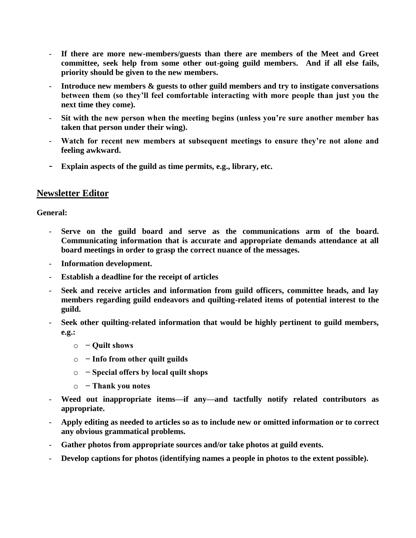- If there are more new-members/guests than there are members of the Meet and Greet **committee, seek help from some other out-going guild members. And if all else fails, priority should be given to the new members.**
- **Introduce new members & guests to other guild members and try to instigate conversations between them (so they'll feel comfortable interacting with more people than just you the next time they come).**
- **Sit with the new person when the meeting begins (unless you're sure another member has taken that person under their wing).**
- **Watch for recent new members at subsequent meetings to ensure they're not alone and feeling awkward.**
- **Explain aspects of the guild as time permits, e.g., library, etc.**

# **Newsletter Editor**

### **General:**

- **Serve on the guild board and serve as the communications arm of the board. Communicating information that is accurate and appropriate demands attendance at all board meetings in order to grasp the correct nuance of the messages.**
- **Information development.**
- **Establish a deadline for the receipt of articles**
- **Seek and receive articles and information from guild officers, committee heads, and lay members regarding guild endeavors and quilting-related items of potential interest to the guild.**
- **Seek other quilting-related information that would be highly pertinent to guild members, e.g.:** 
	- o **− Quilt shows**
	- o **− Info from other quilt guilds**
	- o **− Special offers by local quilt shops**
	- o **− Thank you notes**
- **Weed out inappropriate items—if any—and tactfully notify related contributors as appropriate.**
- **Apply editing as needed to articles so as to include new or omitted information or to correct any obvious grammatical problems.**
- **Gather photos from appropriate sources and/or take photos at guild events.**
- Develop captions for photos (identifying names a people in photos to the extent possible).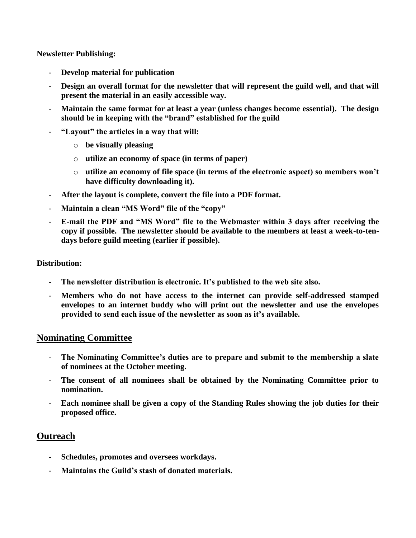**Newsletter Publishing:** 

- **Develop material for publication**
- **Design an overall format for the newsletter that will represent the guild well, and that will present the material in an easily accessible way.**
- **Maintain the same format for at least a year (unless changes become essential). The design should be in keeping with the "brand" established for the guild**
- **"Layout" the articles in a way that will:** 
	- o **be visually pleasing**
	- o **utilize an economy of space (in terms of paper)**
	- o **utilize an economy of file space (in terms of the electronic aspect) so members won't have difficulty downloading it).**
- **After the layout is complete, convert the file into a PDF format.**
- Maintain a clean "MS Word" file of the "copy"
- **E-mail the PDF and "MS Word" file to the Webmaster within 3 days after receiving the copy if possible. The newsletter should be available to the members at least a week-to-tendays before guild meeting (earlier if possible).**

#### **Distribution:**

- The newsletter distribution is electronic. It's published to the web site also.
- **Members who do not have access to the internet can provide self-addressed stamped envelopes to an internet buddy who will print out the newsletter and use the envelopes provided to send each issue of the newsletter as soon as it's available.**

### **Nominating Committee**

- The Nominating Committee's duties are to prepare and submit to the membership a slate **of nominees at the October meeting.**
- The consent of all nominees shall be obtained by the Nominating Committee prior to **nomination.**
- **Each nominee shall be given a copy of the Standing Rules showing the job duties for their proposed office.**

# **Outreach**

- **Schedules, promotes and oversees workdays.**
- **Maintains the Guild's stash of donated materials.**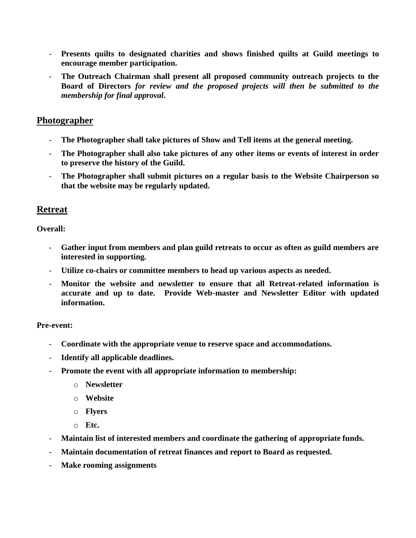- **Presents quilts to designated charities and shows finished quilts at Guild meetings to encourage member participation.**
- **The Outreach Chairman shall present all proposed community outreach projects to the Board of Directors** *for review and the proposed projects will then be submitted to the membership for final approval***.**

# **Photographer**

- **The Photographer shall take pictures of Show and Tell items at the general meeting.**
- **The Photographer shall also take pictures of any other items or events of interest in order to preserve the history of the Guild.**
- **The Photographer shall submit pictures on a regular basis to the Website Chairperson so that the website may be regularly updated.**

### **Retreat**

**Overall:**

- **Gather input from members and plan guild retreats to occur as often as guild members are interested in supporting.**
- **Utilize co-chairs or committee members to head up various aspects as needed.**
- **Monitor the website and newsletter to ensure that all Retreat-related information is accurate and up to date. Provide Web-master and Newsletter Editor with updated information.**

#### **Pre-event:**

- **Coordinate with the appropriate venue to reserve space and accommodations.**
- **Identify all applicable deadlines.**
- **Promote the event with all appropriate information to membership:** 
	- o **Newsletter**
	- o **Website**
	- o **Flyers**
	- o **Etc.**
- **Maintain list of interested members and coordinate the gathering of appropriate funds.**
- **Maintain documentation of retreat finances and report to Board as requested.**
- **Make rooming assignments**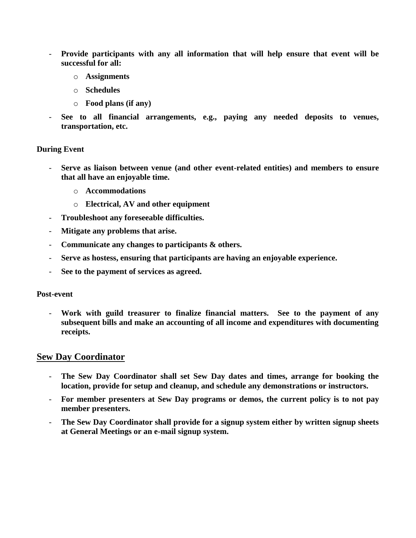- **Provide participants with any all information that will help ensure that event will be successful for all:** 
	- o **Assignments**
	- o **Schedules**
	- o **Food plans (if any)**
- **See to all financial arrangements, e.g., paying any needed deposits to venues, transportation, etc.**

#### **During Event**

- **Serve as liaison between venue (and other event-related entities) and members to ensure that all have an enjoyable time.** 
	- o **Accommodations**
	- o **Electrical, AV and other equipment**
- **Troubleshoot any foreseeable difficulties.**
- **Mitigate any problems that arise.**
- **Communicate any changes to participants & others.**
- **Serve as hostess, ensuring that participants are having an enjoyable experience.**
- **See to the payment of services as agreed.**

#### **Post-event**

- **Work with guild treasurer to finalize financial matters. See to the payment of any subsequent bills and make an accounting of all income and expenditures with documenting receipts.**

#### **Sew Day Coordinator**

- **The Sew Day Coordinator shall set Sew Day dates and times, arrange for booking the location, provide for setup and cleanup, and schedule any demonstrations or instructors.**
- **For member presenters at Sew Day programs or demos, the current policy is to not pay member presenters.**
- The Sew Day Coordinator shall provide for a signup system either by written signup sheets **at General Meetings or an e-mail signup system.**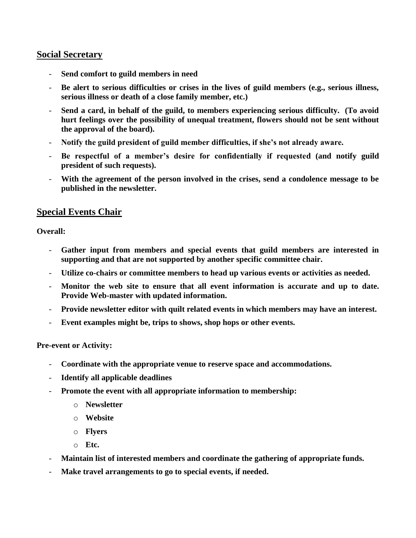### **Social Secretary**

- **Send comfort to guild members in need**
- **Be alert to serious difficulties or crises in the lives of guild members (e.g., serious illness, serious illness or death of a close family member, etc.)**
- **Send a card, in behalf of the guild, to members experiencing serious difficulty. (To avoid hurt feelings over the possibility of unequal treatment, flowers should not be sent without the approval of the board).**
- **Notify the guild president of guild member difficulties, if she's not already aware.**
- **Be respectful of a member's desire for confidentially if requested (and notify guild president of such requests).**
- With the agreement of the person involved in the crises, send a condolence message to be **published in the newsletter.**

# **Special Events Chair**

**Overall:**

- Gather input from members and special events that guild members are interested in **supporting and that are not supported by another specific committee chair.**
- **Utilize co-chairs or committee members to head up various events or activities as needed.**
- **Monitor the web site to ensure that all event information is accurate and up to date. Provide Web-master with updated information.**
- **Provide newsletter editor with quilt related events in which members may have an interest.**
- **Event examples might be, trips to shows, shop hops or other events.**

**Pre-event or Activity:**

- **Coordinate with the appropriate venue to reserve space and accommodations.**
- **Identify all applicable deadlines**
- **Promote the event with all appropriate information to membership:** 
	- o **Newsletter**
	- o **Website**
	- o **Flyers**
	- o **Etc.**
- **Maintain list of interested members and coordinate the gathering of appropriate funds.**
- **Make travel arrangements to go to special events, if needed.**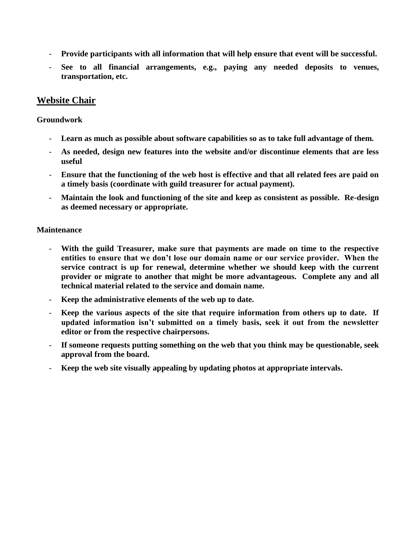- **Provide participants with all information that will help ensure that event will be successful.**
- **See to all financial arrangements, e.g., paying any needed deposits to venues, transportation, etc.**

# **Website Chair**

#### **Groundwork**

- Learn as much as possible about software capabilities so as to take full advantage of them.
- **As needed, design new features into the website and/or discontinue elements that are less useful**
- **Ensure that the functioning of the web host is effective and that all related fees are paid on a timely basis (coordinate with guild treasurer for actual payment).**
- **Maintain the look and functioning of the site and keep as consistent as possible. Re-design as deemed necessary or appropriate.**

#### **Maintenance**

- **With the guild Treasurer, make sure that payments are made on time to the respective entities to ensure that we don't lose our domain name or our service provider. When the service contract is up for renewal, determine whether we should keep with the current provider or migrate to another that might be more advantageous. Complete any and all technical material related to the service and domain name.**
- **Keep the administrative elements of the web up to date.**
- **Keep the various aspects of the site that require information from others up to date. If updated information isn't submitted on a timely basis, seek it out from the newsletter editor or from the respective chairpersons.**
- **If someone requests putting something on the web that you think may be questionable, seek approval from the board.**
- **Keep the web site visually appealing by updating photos at appropriate intervals.**